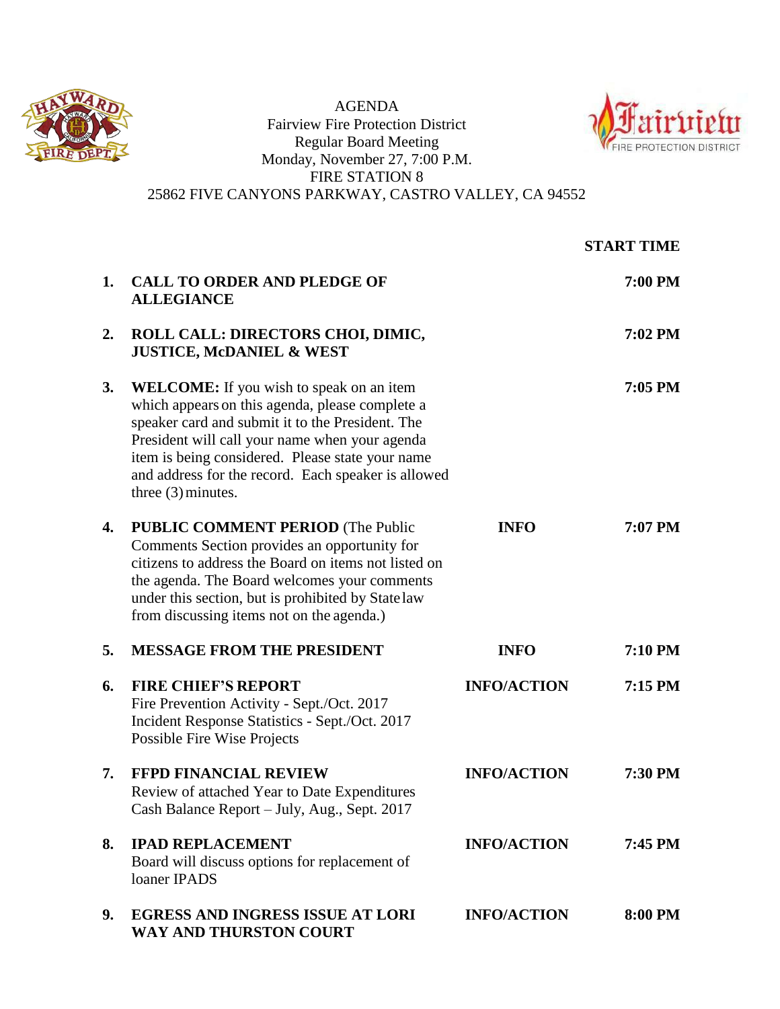

**FCTION DISTRICT** 

AGENDA Fairview Fire Protection District Regular Board Meeting Monday, November 27, 7:00 P.M. FIRE STATION 8 25862 FIVE CANYONS PARKWAY, CASTRO VALLEY, CA 94552

|    |                                                                                                                                                                                                                                                                                                                                             |                    | <b>START TIME</b> |
|----|---------------------------------------------------------------------------------------------------------------------------------------------------------------------------------------------------------------------------------------------------------------------------------------------------------------------------------------------|--------------------|-------------------|
| 1. | <b>CALL TO ORDER AND PLEDGE OF</b><br><b>ALLEGIANCE</b>                                                                                                                                                                                                                                                                                     |                    | 7:00 PM           |
| 2. | ROLL CALL: DIRECTORS CHOI, DIMIC,<br><b>JUSTICE, McDANIEL &amp; WEST</b>                                                                                                                                                                                                                                                                    |                    | 7:02 PM           |
| 3. | <b>WELCOME:</b> If you wish to speak on an item<br>which appears on this agenda, please complete a<br>speaker card and submit it to the President. The<br>President will call your name when your agenda<br>item is being considered. Please state your name<br>and address for the record. Each speaker is allowed<br>three $(3)$ minutes. |                    | 7:05 PM           |
| 4. | <b>PUBLIC COMMENT PERIOD</b> (The Public<br>Comments Section provides an opportunity for<br>citizens to address the Board on items not listed on<br>the agenda. The Board welcomes your comments<br>under this section, but is prohibited by State law<br>from discussing items not on the agenda.)                                         | <b>INFO</b>        | 7:07 PM           |
| 5. | <b>MESSAGE FROM THE PRESIDENT</b>                                                                                                                                                                                                                                                                                                           | <b>INFO</b>        | 7:10 PM           |
| 6. | <b>FIRE CHIEF'S REPORT</b><br>Fire Prevention Activity - Sept./Oct. 2017<br>Incident Response Statistics - Sept./Oct. 2017<br>Possible Fire Wise Projects                                                                                                                                                                                   | <b>INFO/ACTION</b> | 7:15 PM           |
| 7. | <b>FFPD FINANCIAL REVIEW</b><br>Review of attached Year to Date Expenditures<br>Cash Balance Report - July, Aug., Sept. 2017                                                                                                                                                                                                                | <b>INFO/ACTION</b> | 7:30 PM           |
| 8. | <b>IPAD REPLACEMENT</b><br>Board will discuss options for replacement of<br>loaner IPADS                                                                                                                                                                                                                                                    | <b>INFO/ACTION</b> | 7:45 PM           |
| 9. | <b>EGRESS AND INGRESS ISSUE AT LORI</b><br>WAY AND THURSTON COURT                                                                                                                                                                                                                                                                           | <b>INFO/ACTION</b> | 8:00 PM           |